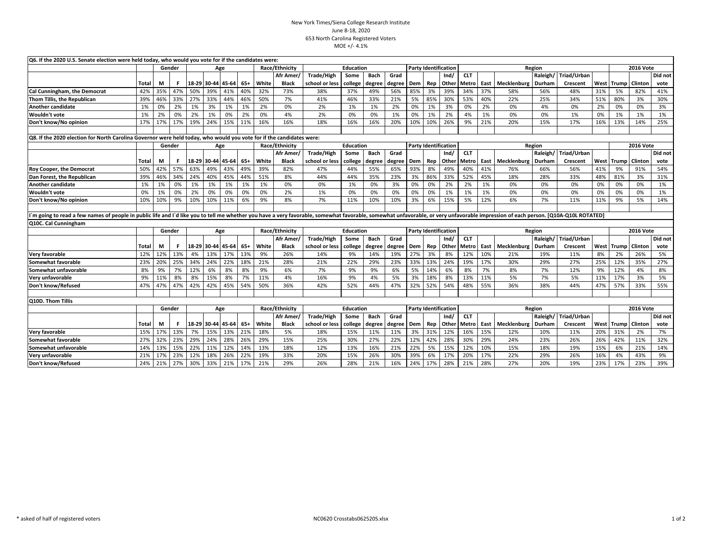## New York Times/Siena College Research InstituteJune 8-18, 2020 653 North Carolina Registered VotersMOE +/- 4.1%

| Q6. If the 2020 U.S. Senate election were held today, who would you vote for if the candidates were:                                                                                                                           |       |     |        |                   |     |                   |       |                |                |                |                |             |                             |                             |                             |       |              |        |                    |          |             |                  |                      |                      |         |
|--------------------------------------------------------------------------------------------------------------------------------------------------------------------------------------------------------------------------------|-------|-----|--------|-------------------|-----|-------------------|-------|----------------|----------------|----------------|----------------|-------------|-----------------------------|-----------------------------|-----------------------------|-------|--------------|--------|--------------------|----------|-------------|------------------|----------------------|----------------------|---------|
|                                                                                                                                                                                                                                |       |     | Gender | Age               |     |                   |       |                | Race/Ethnicity | Education      |                |             |                             | <b>Party Identification</b> |                             |       | Region       |        |                    |          |             |                  | <b>2016 Vote</b>     |                      |         |
|                                                                                                                                                                                                                                |       |     |        |                   |     |                   |       |                | Afr Amer       | Trade/High     | Some           | Bach        | Grad                        |                             |                             | Ind/  | <b>CLT</b>   |        |                    | Raleigh/ | Triad/Urban |                  |                      |                      | Did not |
|                                                                                                                                                                                                                                | Total | М   | F.     |                   |     | 18-29 30-44 45-64 | $65+$ | White          | <b>Black</b>   | school or less | college        | degree      | degree                      | Dem                         | Rep                         | Other | Metro        | East   | Mecklenburg        | Durham   | Crescent    | West             | <b>Trump</b> Clinton |                      | vote    |
| Cal Cunningham, the Democrat                                                                                                                                                                                                   | 42%   | 35% | 47%    | 50%               | 39% | 41%               | 40%   | 32%            | 73%            | 38%            | 37%            | 49%         | 56%                         | 85%                         | 3%                          | 39%   | 34%          | 37%    | 58%                | 56%      | 48%         | 31%              | 5%                   | 82%                  | 41%     |
| Thom Tillis, the Republican                                                                                                                                                                                                    | 39%   | 46% | 33%    | 27%               | 33% | 44%               | 46%   | 50%            | 7%             | 41%            | 46%            | 33%         | 21%                         | 5%                          | 85%                         | 30%   | 53%          | 40%    | 22%                | 25%      | 34%         | 51%              | 80%                  | 3%                   | 30%     |
| <b>Another candidate</b>                                                                                                                                                                                                       | 1%    | 0%  | 2%     | 1%                | 3%  | 1%                | 1%    | 2%             | 0%             | 2%             | 1%             | 1%          | 2%                          | 0%                          | 1%                          | 3%    | 0%           | 2%     | 0%                 | 4%       | 0%          | 2%               | 0%                   | 0%                   | 3%      |
| Wouldn't vote                                                                                                                                                                                                                  | 1%    | 2%  | 0%     | 2%                | 1%  | 0%                | 2%    | 0%             | 4%             | 2%             | 0%             | 0%          | 1%                          | 0%                          | 1%                          | 2%    | 4%           | 1%     | 0%                 | 0%       | 1%          | 0%               | 1%                   | 1%                   | 1%      |
| Don't know/No opinion                                                                                                                                                                                                          | 17%   | 17% | 17%    | 19%               | 24% | 15%               | 11%   | 16%            | 16%            | 18%            | 16%            | 16%         | 20%                         | 10%                         | 10%                         | 26%   | 9%           | 21%    | 20%                | 15%      | 17%         | 16%              | 13%                  | 14%                  | 25%     |
|                                                                                                                                                                                                                                |       |     |        |                   |     |                   |       |                |                |                |                |             |                             |                             |                             |       |              |        |                    |          |             |                  |                      |                      |         |
| Q8. If the 2020 election for North Carolina Governor were held today, who would you vote for if the candidates were:                                                                                                           |       |     |        |                   |     |                   |       |                |                |                |                |             |                             |                             |                             |       |              |        |                    |          |             |                  |                      |                      |         |
|                                                                                                                                                                                                                                |       |     | Gender | Age               |     |                   |       | Race/Ethnicity |                | Education      |                |             | <b>Party Identification</b> |                             |                             |       |              | Region |                    |          |             | <b>2016 Vote</b> |                      |                      |         |
|                                                                                                                                                                                                                                |       |     |        |                   |     |                   |       |                | Afr Amer/      | Trade/High     | Some           | Bach        | Grad                        |                             |                             | Ind/  | <b>CLT</b>   |        |                    | Raleigh/ | Triad/Urban |                  |                      |                      | Did not |
|                                                                                                                                                                                                                                | Total | М   | F.     |                   |     | 18-29 30-44 45-64 | $65+$ | White          | <b>Black</b>   | school or less | college        | degree      | degree                      | Dem                         | Rep                         | Other | <b>Metro</b> |        | East Mecklenburg   | Durham   | Crescent    | West             | Trump   Clinton      |                      | vote    |
| <b>Roy Cooper, the Democrat</b>                                                                                                                                                                                                | 50%   | 42% | 57%    | 63%               | 49% | 43%               | 49%   | 39%            | 82%            | 47%            | 44%            | 55%         | 65%                         | 93%                         | 8%                          | 49%   | 40%          | 41%    | 76%                | 66%      | 56%         | 41%              | 9%                   | 91%                  | 54%     |
| Dan Forest, the Republican                                                                                                                                                                                                     | 39%   | 46% | 34%    | 24%               | 40% | 45%               | 44%   | 51%            | 8%             | 44%            | 44%            | 35%         | 23%                         | 3%                          | 86%                         | 33%   | 52%          | 45%    | 18%                | 28%      | 33%         | 48%              | 81%                  | 3%                   | 31%     |
| Another candidate                                                                                                                                                                                                              | 1%    | 1%  | 0%     | 1%                | 1%  | 1%                | 1%    | 1%             | 0%             | 0%             | 1%             | 0%          | 3%                          | 0%                          | 0%                          | 2%    | 2%           | 1%     | 0%                 | 0%       | 0%          | 0%               | 0%                   | 0%                   | 1%      |
| Wouldn't vote                                                                                                                                                                                                                  | 0%    | 1%  | 0%     | 2%                | 0%  | 0%                | 0%    | 0%             | 2%             | 1%             | 0%             | 0%          | 0%                          | 0%                          | 0%                          | 1%    | 1%           | 1%     | 0%                 | 0%       | 0%          | 0%               | 0%                   | 0%                   | 1%      |
| Don't know/No opinion                                                                                                                                                                                                          | 10%   | 10% | 9%     | 10%               | 10% | 11%               | 6%    | 9%             | 8%             | 7%             | 11%            | 10%         | 10%                         | 3%                          | 6%                          | 15%   | 5%           | 12%    | 6%                 | 7%       | 11%         | 11%              | 9%                   | 5%                   | 14%     |
|                                                                                                                                                                                                                                |       |     |        |                   |     |                   |       |                |                |                |                |             |                             |                             |                             |       |              |        |                    |          |             |                  |                      |                      |         |
| 'm going to read a few names of people in public life and I'd like you to tell me whether you have a very favorable, somewhat favorable, somewhat unfavorable, or very unfavorable impression of each person. [Q10A-Q10L ROTAT |       |     |        |                   |     |                   |       |                |                |                |                |             |                             |                             |                             |       |              |        |                    |          |             |                  |                      |                      |         |
| Q10C. Cal Cunningham                                                                                                                                                                                                           |       |     |        |                   |     |                   |       |                |                |                |                |             |                             |                             |                             |       |              |        |                    |          |             |                  |                      |                      |         |
|                                                                                                                                                                                                                                |       |     | Gender |                   | Age |                   |       |                | Race/Ethnicity | Education      |                |             |                             |                             | <b>Party Identification</b> |       |              |        | Region             |          |             |                  | <b>2016 Vote</b>     |                      |         |
|                                                                                                                                                                                                                                |       |     |        |                   |     |                   |       |                | Afr Amer/      | Trade/High     | Some           | <b>Bach</b> | Grad                        |                             |                             | Ind/  | <b>CLT</b>   |        |                    | Raleigh/ | Triad/Urban |                  |                      |                      | Did not |
|                                                                                                                                                                                                                                | Total | М   | F.     |                   |     | 18-29 30-44 45-64 | $65+$ | White          | <b>Black</b>   | school or less | college degree |             | degree                      | Dem                         | Rep                         | Other | <b>Metro</b> |        | East Mecklenburg   | Durham   | Crescent    | West             |                      | <b>Trump</b> Clinton | vote    |
| <b>Very favorable</b>                                                                                                                                                                                                          | 12%   | 12% | 13%    | 4%                | 13% | 17%               | 13%   | 9%             | 26%            | 14%            | 9%             | 14%         | 19%                         | 27%                         | 3%                          | 8%    | 12%          | 10%    | 21%                | 19%      | 11%         | 8%               | 2%                   | 26%                  | 5%      |
| Somewhat favorable                                                                                                                                                                                                             | 23%   | 20% | 25%    | 34%               | 24% | 22%               | 18%   | 21%            | 28%            | 21%            | 22%            | 29%         | 23%                         | 33%                         | 13%                         | 24%   | 19%          | 17%    | 30%                | 29%      | 27%         | 25%              | 12%                  | 35%                  | 27%     |
| Somewhat unfavorable                                                                                                                                                                                                           | 8%    | 9%  | 7%     | 12%               | 6%  | 8%                | 8%    | 9%             | 6%             | 7%             | 9%             | 9%          | 6%                          | 5%                          | 14%                         | 6%    | 8%           | 7%     | 8%                 | 7%       | 12%         | 9%               | 12%                  | 4%                   | 8%      |
| Very unfavorable                                                                                                                                                                                                               | 9%    | 11% | 8%     | 8%                | 15% | 8%                | 7%    | 11%            | 4%             | 16%            | 9%             | 4%          | 5%                          | 3%                          | 18%                         | 8%    | 13%          | 11%    | 5%                 | 7%       | 5%          | 11%              | 17%                  | 3%                   | 5%      |
| Don't know/Refused                                                                                                                                                                                                             | 47%   | 47% | 47%    | 42%               | 42% | 45%               | 54%   | 50%            | 36%            | 42%            | 52%            | 44%         | 47%                         | 32%                         | 52%                         | 54%   | 48%          | 55%    | 36%                | 38%      | 44%         | 47%              | 57%                  | 33%                  | 55%     |
|                                                                                                                                                                                                                                |       |     |        |                   |     |                   |       |                |                |                |                |             |                             |                             |                             |       |              |        |                    |          |             |                  |                      |                      |         |
| Q10D. Thom Tillis                                                                                                                                                                                                              |       |     |        |                   |     |                   |       |                |                |                |                |             |                             |                             |                             |       |              |        |                    |          |             |                  |                      |                      |         |
|                                                                                                                                                                                                                                |       |     | Gender |                   | Age |                   |       | Race/Ethnicity |                | Education      |                |             |                             | <b>Party Identification</b> |                             |       |              | Region |                    |          |             |                  | <b>2016 Vote</b>     |                      |         |
|                                                                                                                                                                                                                                |       |     |        |                   |     |                   |       |                | Afr Amer/      | Trade/High     | Some           | Bach        | Grad                        |                             |                             | Ind/  | <b>CLT</b>   |        |                    | Raleigh/ | Triad/Urban |                  |                      |                      | Did not |
|                                                                                                                                                                                                                                | Total | М   | F.     | 18-29 30-44 45-64 |     |                   | $65+$ | White          | <b>Black</b>   | school or less | college        | degree      | degree                      | Dem                         | Rep                         | Other | <b>Metro</b> |        | East   Mecklenburg | Durham   | Crescent    | West             | Trump   Clinton      |                      | vote    |
| <b>Very favorable</b>                                                                                                                                                                                                          | 15%   | 17% | 13%    | 7%                | 15% | 13%               | 21%   | 18%            | 5%             | 18%            | 15%            | 11%         | 11%                         | 3%                          | 31%                         | 12%   | 16%          | 15%    | 12%                | 10%      | 11%         | 20%              | 31%                  | 2%                   | 7%      |
| Somewhat favorable                                                                                                                                                                                                             | 27%   | 32% | 23%    | 29%               | 24% | 28%               | 26%   | 29%            | 15%            | 25%            | 30%            | 27%         | 22%                         | 12%                         | 42%                         | 28%   | 30%          | 29%    | 24%                | 23%      | 26%         | 26%              | 42%                  | 11%                  | 32%     |
| Somewhat unfavorable                                                                                                                                                                                                           | 14%   | 13% | 15%    | 22%               | 11% | 12%               | 14%   | 13%            | 18%            | 12%            | 13%            | 16%         | 21%                         | 22%                         | 5%                          | 15%   | 12%          | 10%    | 15%                | 18%      | 19%         | 15%              | 6%                   | 21%                  | 14%     |
| Very unfavorable                                                                                                                                                                                                               | 21%   | 17% | 23%    | 12%               | 18% | 26%               | 22%   | 19%            | 33%            | 20%            | 15%            | 26%         | 30%                         | 39%                         | 6%                          | 17%   | 20%          | 17%    | 22%                | 29%      | 26%         | 16%              | 4%                   | 43%                  | 9%      |
| Don't know/Refused                                                                                                                                                                                                             | 24%   | 21% | 27%    | 30%               | 33% | 21%               | 17%   | 21%            | 29%            | 26%            | 28%            | 21%         | 16%                         | 24%                         | 17%                         | 28%   | 21%          | 28%    | 27%                | 20%      | 19%         | 23%              | 17%                  | 23%                  | 39%     |